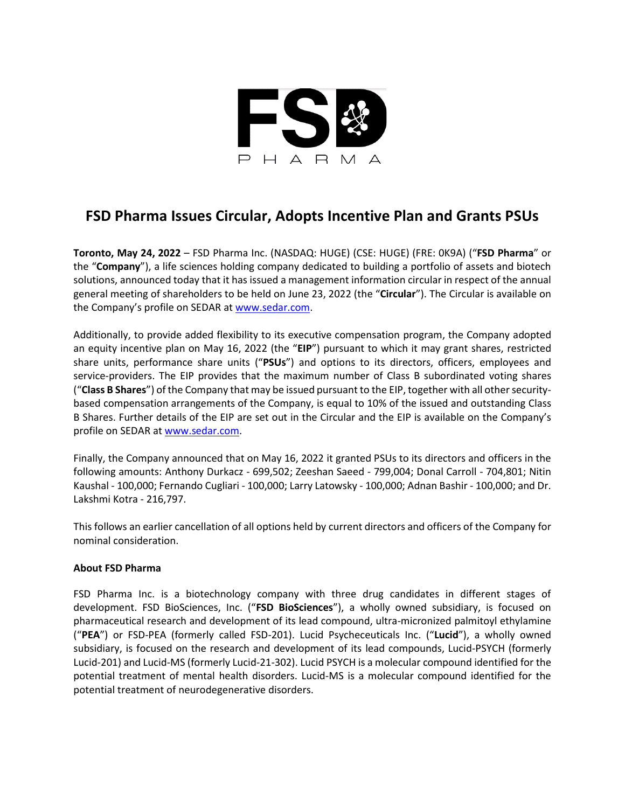

## **FSD Pharma Issues Circular, Adopts Incentive Plan and Grants PSUs**

**Toronto, May 24, 2022** – FSD Pharma Inc. (NASDAQ: HUGE) (CSE: HUGE) (FRE: 0K9A) ("**FSD Pharma**" or the "**Company**"), a life sciences holding company dedicated to building a portfolio of assets and biotech solutions, announced today that it has issued a management information circular in respect of the annual general meeting of shareholders to be held on June 23, 2022 (the "**Circular**"). The Circular is available on the Company's profile on SEDAR a[t www.sedar.com.](http://www.sedar.com/)

Additionally, to provide added flexibility to its executive compensation program, the Company adopted an equity incentive plan on May 16, 2022 (the "**EIP**") pursuant to which it may grant shares, restricted share units, performance share units ("**PSUs**") and options to its directors, officers, employees and service-providers. The EIP provides that the maximum number of Class B subordinated voting shares ("**Class B Shares**") of the Company that may be issued pursuant to the EIP, together with all other securitybased compensation arrangements of the Company, is equal to 10% of the issued and outstanding Class B Shares. Further details of the EIP are set out in the Circular and the EIP is available on the Company's profile on SEDAR a[t www.sedar.com.](http://www.sedar.com/)

Finally, the Company announced that on May 16, 2022 it granted PSUs to its directors and officers in the following amounts: Anthony Durkacz - 699,502; Zeeshan Saeed - 799,004; Donal Carroll - 704,801; Nitin Kaushal - 100,000; Fernando Cugliari - 100,000; Larry Latowsky - 100,000; Adnan Bashir - 100,000; and Dr. Lakshmi Kotra - 216,797.

This follows an earlier cancellation of all options held by current directors and officers of the Company for nominal consideration.

## **About FSD Pharma**

FSD Pharma Inc. is a biotechnology company with three drug candidates in different stages of development. FSD BioSciences, Inc. ("**FSD BioSciences**"), a wholly owned subsidiary, is focused on pharmaceutical research and development of its lead compound, ultra-micronized palmitoyl ethylamine ("**PEA**") or FSD-PEA (formerly called FSD-201). Lucid Psycheceuticals Inc. ("**Lucid**"), a wholly owned subsidiary, is focused on the research and development of its lead compounds, Lucid-PSYCH (formerly Lucid-201) and Lucid-MS (formerly Lucid-21-302). Lucid PSYCH is a molecular compound identified for the potential treatment of mental health disorders. Lucid-MS is a molecular compound identified for the potential treatment of neurodegenerative disorders.